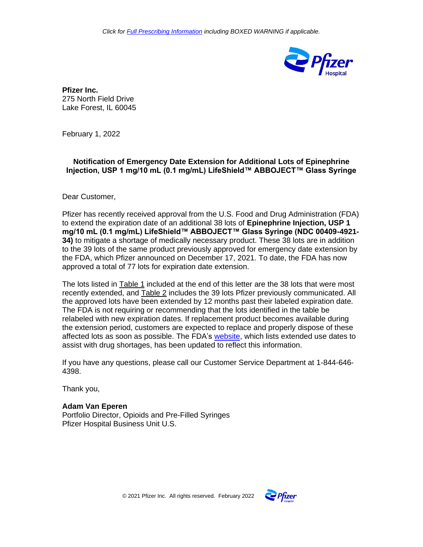

**Pfizer Inc.** 275 North Field Drive Lake Forest, IL 60045

February 1, 2022

## **Notification of Emergency Date Extension for Additional Lots of Epinephrine Injection, USP 1 mg/10 mL (0.1 mg/mL) LifeShield™ ABBOJECT™ Glass Syringe**

Dear Customer,

Pfizer has recently received approval from the U.S. Food and Drug Administration (FDA) to extend the expiration date of an additional 38 lots of **Epinephrine Injection, USP 1 mg/10 mL (0.1 mg/mL) LifeShield™ ABBOJECT™ Glass Syringe (NDC 00409-4921- 34)** to mitigate a shortage of medically necessary product. These 38 lots are in addition to the 39 lots of the same product previously approved for emergency date extension by the FDA, which Pfizer announced on December 17, 2021. To date, the FDA has now approved a total of 77 lots for expiration date extension.

The lots listed in Table 1 included at the end of this letter are the 38 lots that were most recently extended, and Table 2 includes the 39 lots Pfizer previously communicated. All the approved lots have been extended by 12 months past their labeled expiration date. The FDA is not requiring or recommending that the lots identified in the table be relabeled with new expiration dates. If replacement product becomes available during the extension period, customers are expected to replace and properly dispose of these affected lots as soon as possible. The FDA's [website,](https://www.fda.gov/drugs/drug-shortages/search-list-extended-use-dates-assist-drug-shortages) which lists extended use dates to assist with drug shortages, has been updated to reflect this information.

If you have any questions, please call our Customer Service Department at 1-844-646- 4398.

Thank you,

**Adam Van Eperen** Portfolio Director, Opioids and Pre-Filled Syringes Pfizer Hospital Business Unit U.S.

© 2021 Pfizer Inc. All rights reserved. February 2022

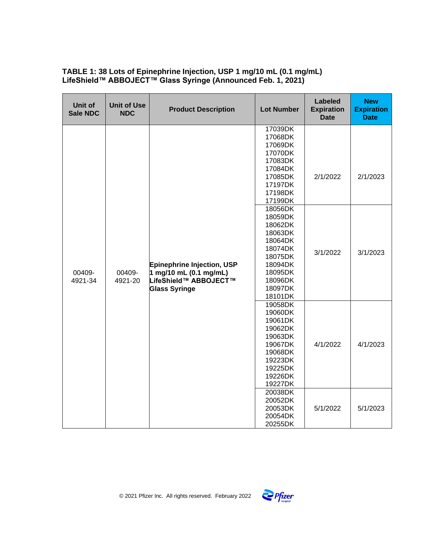## **TABLE 1: 38 Lots of Epinephrine Injection, USP 1 mg/10 mL (0.1 mg/mL) LifeShield™ ABBOJECT™ Glass Syringe (Announced Feb. 1, 2021)**

| Unit of<br><b>Sale NDC</b> | <b>Unit of Use</b><br><b>NDC</b> | <b>Product Description</b>                                                                            | <b>Lot Number</b>                                                                                                                                                                                                                   | <b>Labeled</b><br><b>Expiration</b><br><b>Date</b> | <b>New</b><br><b>Expiration</b><br><b>Date</b> |
|----------------------------|----------------------------------|-------------------------------------------------------------------------------------------------------|-------------------------------------------------------------------------------------------------------------------------------------------------------------------------------------------------------------------------------------|----------------------------------------------------|------------------------------------------------|
| 00409-<br>4921-34          | 00409-<br>4921-20                | Epinephrine Injection, USP<br>1 mg/10 mL (0.1 mg/mL)<br>LifeShield™ ABBOJECT™<br><b>Glass Syringe</b> | 17039DK<br>17068DK<br>17069DK<br>17070DK<br>17083DK<br>17084DK<br>17085DK<br>17197DK<br>17198DK<br>17199DK<br>18056DK<br>18059DK<br>18062DK<br>18063DK<br>18064DK<br>18074DK<br>18075DK<br>18094DK<br>18095DK<br>18096DK<br>18097DK | 2/1/2022<br>3/1/2022                               | 2/1/2023<br>3/1/2023                           |
|                            |                                  |                                                                                                       | 18101DK<br>19058DK<br>19060DK<br>19061DK<br>19062DK<br>19063DK<br>19067DK<br>19068DK<br>19223DK<br>19225DK<br>19226DK<br>19227DK<br>20038DK<br>20052DK<br>20053DK<br>20054DK<br>20255DK                                             | 4/1/2022<br>5/1/2022                               | 4/1/2023<br>5/1/2023                           |